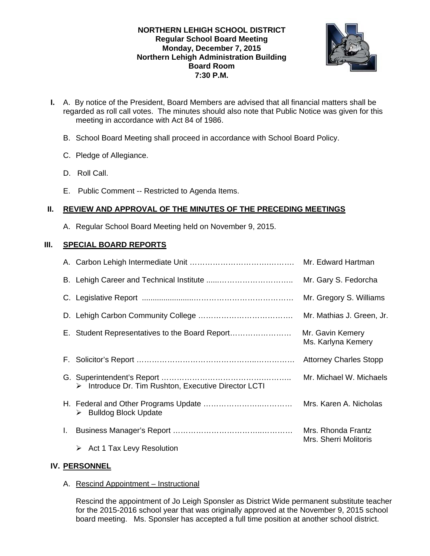## **NORTHERN LEHIGH SCHOOL DISTRICT Regular School Board Meeting Monday, December 7, 2015 Northern Lehigh Administration Building Board Room 7:30 P.M.**



- **I.** A. By notice of the President, Board Members are advised that all financial matters shall be regarded as roll call votes. The minutes should also note that Public Notice was given for this meeting in accordance with Act 84 of 1986.
	- B. School Board Meeting shall proceed in accordance with School Board Policy.
	- C. Pledge of Allegiance.
	- D. Roll Call.
	- E. Public Comment -- Restricted to Agenda Items.

## **II. REVIEW AND APPROVAL OF THE MINUTES OF THE PRECEDING MEETINGS**

A. Regular School Board Meeting held on November 9, 2015.

# **III. SPECIAL BOARD REPORTS**

|    |                                                      | Mr. Gary S. Fedorcha                        |
|----|------------------------------------------------------|---------------------------------------------|
|    |                                                      | Mr. Gregory S. Williams                     |
|    |                                                      | Mr. Mathias J. Green, Jr.                   |
|    | E. Student Representatives to the Board Report       | Mr. Gavin Kemery<br>Ms. Karlyna Kemery      |
| F. |                                                      | <b>Attorney Charles Stopp</b>               |
|    | > Introduce Dr. Tim Rushton, Executive Director LCTI | Mr. Michael W. Michaels                     |
|    | <b>Bulldog Block Update</b>                          |                                             |
| L. |                                                      | Mrs. Rhonda Frantz<br>Mrs. Sherri Molitoris |
|    | $\triangleright$ Act 1 Tax Levy Resolution           |                                             |

## **IV. PERSONNEL**

A. Rescind Appointment – Instructional

 Rescind the appointment of Jo Leigh Sponsler as District Wide permanent substitute teacher for the 2015-2016 school year that was originally approved at the November 9, 2015 school board meeting. Ms. Sponsler has accepted a full time position at another school district.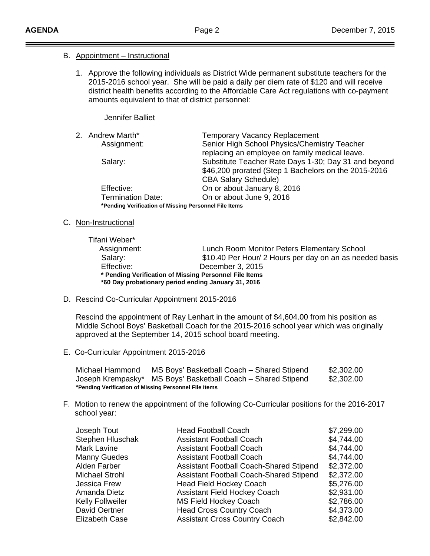### B. Appointment – Instructional

1. Approve the following individuals as District Wide permanent substitute teachers for the 2015-2016 school year. She will be paid a daily per diem rate of \$120 and will receive district health benefits according to the Affordable Care Act regulations with co-payment amounts equivalent to that of district personnel:

Jennifer Balliet

| 2. | Andrew Marth*                                         | <b>Temporary Vacancy Replacement</b>                 |  |  |
|----|-------------------------------------------------------|------------------------------------------------------|--|--|
|    | Assignment:                                           | Senior High School Physics/Chemistry Teacher         |  |  |
|    |                                                       | replacing an employee on family medical leave.       |  |  |
|    | Salary:                                               | Substitute Teacher Rate Days 1-30; Day 31 and beyond |  |  |
|    |                                                       | \$46,200 prorated (Step 1 Bachelors on the 2015-2016 |  |  |
|    |                                                       | <b>CBA Salary Schedule)</b>                          |  |  |
|    | Effective:                                            | On or about January 8, 2016                          |  |  |
|    | <b>Termination Date:</b>                              | On or about June 9, 2016                             |  |  |
|    | *Pending Verification of Missing Personnel File Items |                                                      |  |  |

#### C. Non-Instructional

 Tifani Weber\* Assignment: Lunch Room Monitor Peters Elementary School Salary: **\$10.40 Per Hour/ 2 Hours per day on an as needed basis**  Effective: December 3, 2015 **\* Pending Verification of Missing Personnel File Items \*60 Day probationary period ending January 31, 2016** 

### D. Rescind Co-Curricular Appointment 2015-2016

Rescind the appointment of Ray Lenhart in the amount of \$4,604.00 from his position as Middle School Boys' Basketball Coach for the 2015-2016 school year which was originally approved at the September 14, 2015 school board meeting.

E. Co-Curricular Appointment 2015-2016

 Michael Hammond MS Boys' Basketball Coach – Shared Stipend \$2,302.00 Joseph Krempasky\* MS Boys' Basketball Coach – Shared Stipend \$2,302.00 **\*Pending Verification of Missing Personnel File Items** 

F. Motion to renew the appointment of the following Co-Curricular positions for the 2016-2017 school year:

| <b>Head Football Coach</b>                     | \$7,299.00 |
|------------------------------------------------|------------|
| <b>Assistant Football Coach</b>                | \$4,744.00 |
| <b>Assistant Football Coach</b>                | \$4,744.00 |
| <b>Assistant Football Coach</b>                | \$4,744.00 |
| <b>Assistant Football Coach-Shared Stipend</b> | \$2,372.00 |
| Assistant Football Coach-Shared Stipend        | \$2,372.00 |
| <b>Head Field Hockey Coach</b>                 | \$5,276.00 |
| <b>Assistant Field Hockey Coach</b>            | \$2,931.00 |
| <b>MS Field Hockey Coach</b>                   | \$2,786.00 |
| <b>Head Cross Country Coach</b>                | \$4,373.00 |
| <b>Assistant Cross Country Coach</b>           | \$2,842.00 |
|                                                |            |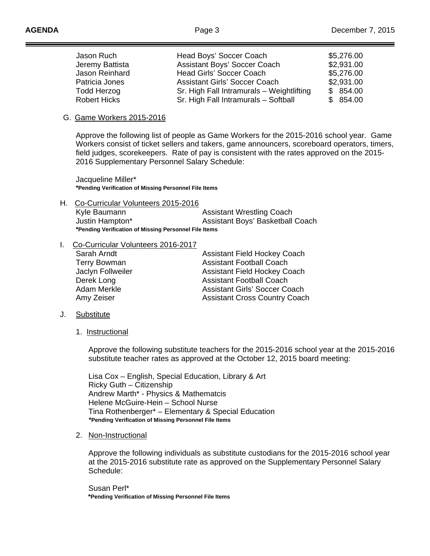Ī

| Jason Ruch          | Head Boys' Soccer Coach                   | \$5,276.00 |
|---------------------|-------------------------------------------|------------|
| Jeremy Battista     | Assistant Boys' Soccer Coach              | \$2,931.00 |
| Jason Reinhard      | <b>Head Girls' Soccer Coach</b>           | \$5,276.00 |
| Patricia Jones      | <b>Assistant Girls' Soccer Coach</b>      | \$2,931.00 |
| <b>Todd Herzog</b>  | Sr. High Fall Intramurals - Weightlifting | \$854.00   |
| <b>Robert Hicks</b> | Sr. High Fall Intramurals - Softball      | \$854.00   |

#### G. Game Workers 2015-2016

 Approve the following list of people as Game Workers for the 2015-2016 school year. Game Workers consist of ticket sellers and takers, game announcers, scoreboard operators, timers, field judges, scorekeepers. Rate of pay is consistent with the rates approved on the 2015- 2016 Supplementary Personnel Salary Schedule:

 Jacqueline Miller\*  **\*Pending Verification of Missing Personnel File Items**

H. Co-Curricular Volunteers 2015-2016 Kyle Baumann **Assistant Wrestling Coach** Justin Hampton\* Assistant Boys' Basketball Coach **\*Pending Verification of Missing Personnel File Items**

#### I. Co-Curricular Volunteers 2016-2017

| Sarah Arndt         | <b>Assistant Field Hockey Coach</b>  |
|---------------------|--------------------------------------|
| <b>Terry Bowman</b> | <b>Assistant Football Coach</b>      |
| Jaclyn Follweiler   | <b>Assistant Field Hockey Coach</b>  |
| Derek Long          | <b>Assistant Football Coach</b>      |
| Adam Merkle         | <b>Assistant Girls' Soccer Coach</b> |
| Amy Zeiser          | <b>Assistant Cross Country Coach</b> |

- J. Substitute
	- 1. Instructional

 Approve the following substitute teachers for the 2015-2016 school year at the 2015-2016 substitute teacher rates as approved at the October 12, 2015 board meeting:

 Lisa Cox – English, Special Education, Library & Art Ricky Guth – Citizenship Andrew Marth\* - Physics & Mathematcis Helene McGuire-Hein – School Nurse Tina Rothenberger\* – Elementary & Special Education  **\*Pending Verification of Missing Personnel File Items** 

2. Non-Instructional

 Approve the following individuals as substitute custodians for the 2015-2016 school year at the 2015-2016 substitute rate as approved on the Supplementary Personnel Salary Schedule:

 Susan Perl\*  **\*Pending Verification of Missing Personnel File Items**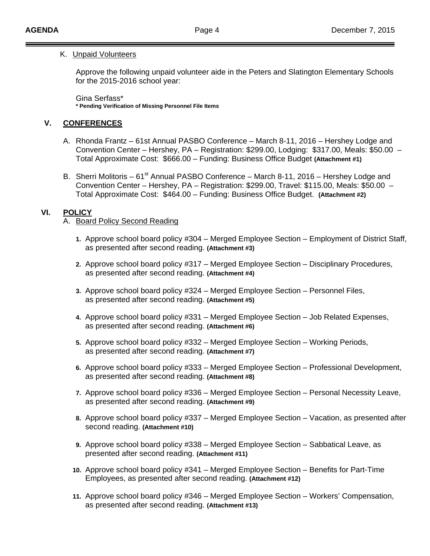#### K. Unpaid Volunteers

Approve the following unpaid volunteer aide in the Peters and Slatington Elementary Schools for the 2015-2016 school year:

Gina Serfass\* **\* Pending Verification of Missing Personnel File Items** 

## **V. CONFERENCES**

- A. Rhonda Frantz 61st Annual PASBO Conference March 8-11, 2016 Hershey Lodge and Convention Center – Hershey, PA – Registration: \$299.00, Lodging: \$317.00, Meals: \$50.00 – Total Approximate Cost: \$666.00 – Funding: Business Office Budget **(Attachment #1)**
- B. Sherri Molitoris  $61<sup>st</sup>$  Annual PASBO Conference March 8-11, 2016 Hershey Lodge and Convention Center – Hershey, PA – Registration: \$299.00, Travel: \$115.00, Meals: \$50.00 – Total Approximate Cost: \$464.00 – Funding: Business Office Budget. **(Attachment #2)**

## **VI. POLICY**

### A. Board Policy Second Reading

- **1.** Approve school board policy #304 Merged Employee Section Employment of District Staff, as presented after second reading. **(Attachment #3)**
- **2.** Approve school board policy #317 Merged Employee Section Disciplinary Procedures, as presented after second reading. **(Attachment #4)**
- **3.** Approve school board policy #324 Merged Employee Section Personnel Files, as presented after second reading. **(Attachment #5)**
- **4.** Approve school board policy #331 Merged Employee Section Job Related Expenses, as presented after second reading. **(Attachment #6)**
- **5.** Approve school board policy #332 Merged Employee Section Working Periods, as presented after second reading. **(Attachment #7)**
- **6.** Approve school board policy #333 Merged Employee Section Professional Development, as presented after second reading. **(Attachment #8)**
- **7.** Approve school board policy #336 Merged Employee Section Personal Necessity Leave, as presented after second reading. **(Attachment #9)**
- **8.** Approve school board policy #337 Merged Employee Section Vacation, as presented after second reading. **(Attachment #10)**
- **9.** Approve school board policy #338 Merged Employee Section Sabbatical Leave, as presented after second reading. **(Attachment #11)**
- **10.** Approve school board policy #341 Merged Employee Section Benefits for Part-Time Employees, as presented after second reading. **(Attachment #12)**
- **11.** Approve school board policy #346 Merged Employee Section Workers' Compensation, as presented after second reading. **(Attachment #13)**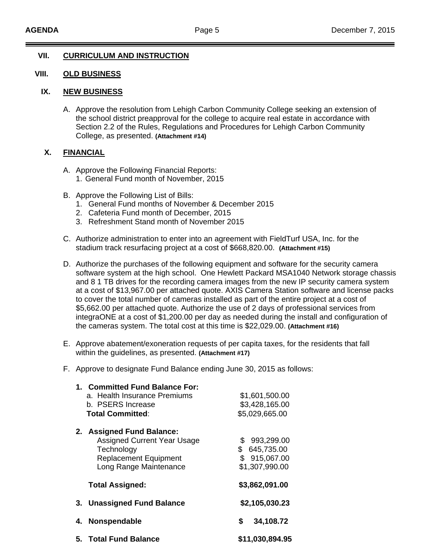## **VII. CURRICULUM AND INSTRUCTION**

## **VIII. OLD BUSINESS**

### **IX. NEW BUSINESS**

A. Approve the resolution from Lehigh Carbon Community College seeking an extension of the school district preapproval for the college to acquire real estate in accordance with Section 2.2 of the Rules, Regulations and Procedures for Lehigh Carbon Community College, as presented. **(Attachment #14)** 

## **X. FINANCIAL**

- A. Approve the Following Financial Reports:
	- 1. General Fund month of November, 2015
- B. Approve the Following List of Bills:
	- 1. General Fund months of November & December 2015
	- 2. Cafeteria Fund month of December, 2015
	- 3. Refreshment Stand month of November 2015
- C. Authorize administration to enter into an agreement with FieldTurf USA, Inc. for the stadium track resurfacing project at a cost of \$668,820.00. **(Attachment #15)**
- D. Authorize the purchases of the following equipment and software for the security camera software system at the high school. One Hewlett Packard MSA1040 Network storage chassis and 8 1 TB drives for the recording camera images from the new IP security camera system at a cost of \$13,967.00 per attached quote. AXIS Camera Station software and license packs to cover the total number of cameras installed as part of the entire project at a cost of \$5,662.00 per attached quote. Authorize the use of 2 days of professional services from integraONE at a cost of \$1,200.00 per day as needed during the install and configuration of the cameras system. The total cost at this time is \$22,029.00. **(Attachment #16)**
- E. Approve abatement/exoneration requests of per capita taxes, for the residents that fall within the guidelines, as presented. **(Attachment #17)**
- F. Approve to designate Fund Balance ending June 30, 2015 as follows:

| 1. Committed Fund Balance For:<br>a. Health Insurance Premiums<br>b. PSERS Increase<br><b>Total Committed:</b>                          | \$1,601,500.00<br>\$3,428,165.00<br>\$5,029,665.00                 |
|-----------------------------------------------------------------------------------------------------------------------------------------|--------------------------------------------------------------------|
| 2. Assigned Fund Balance:<br><b>Assigned Current Year Usage</b><br>Technology<br><b>Replacement Equipment</b><br>Long Range Maintenance | 993,299.00<br>\$<br>\$645,735.00<br>\$915,067.00<br>\$1,307,990.00 |
| <b>Total Assigned:</b>                                                                                                                  | \$3,862,091.00                                                     |
| 3. Unassigned Fund Balance                                                                                                              | \$2,105,030.23                                                     |
| 4. Nonspendable                                                                                                                         | \$<br>34,108.72                                                    |
| 5. Total Fund Balance                                                                                                                   | \$11,030,894.95                                                    |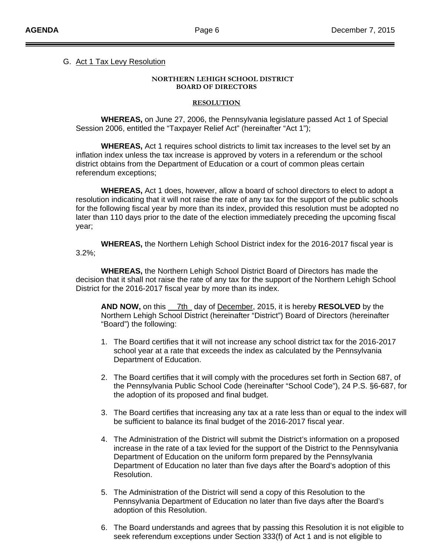## G. Act 1 Tax Levy Resolution

#### **NORTHERN LEHIGH SCHOOL DISTRICT BOARD OF DIRECTORS**

#### **RESOLUTION**

 **WHEREAS,** on June 27, 2006, the Pennsylvania legislature passed Act 1 of Special Session 2006, entitled the "Taxpayer Relief Act" (hereinafter "Act 1");

 **WHEREAS,** Act 1 requires school districts to limit tax increases to the level set by an inflation index unless the tax increase is approved by voters in a referendum or the school district obtains from the Department of Education or a court of common pleas certain referendum exceptions;

 **WHEREAS,** Act 1 does, however, allow a board of school directors to elect to adopt a resolution indicating that it will not raise the rate of any tax for the support of the public schools for the following fiscal year by more than its index, provided this resolution must be adopted no later than 110 days prior to the date of the election immediately preceding the upcoming fiscal year;

 **WHEREAS,** the Northern Lehigh School District index for the 2016-2017 fiscal year is 3.2%;

 **WHEREAS,** the Northern Lehigh School District Board of Directors has made the decision that it shall not raise the rate of any tax for the support of the Northern Lehigh School District for the 2016-2017 fiscal year by more than its index.

 **AND NOW,** on this 7th day of December, 2015, it is hereby **RESOLVED** by the Northern Lehigh School District (hereinafter "District") Board of Directors (hereinafter "Board") the following:

- 1. The Board certifies that it will not increase any school district tax for the 2016-2017 school year at a rate that exceeds the index as calculated by the Pennsylvania Department of Education.
- 2. The Board certifies that it will comply with the procedures set forth in Section 687, of the Pennsylvania Public School Code (hereinafter "School Code"), 24 P.S. §6-687, for the adoption of its proposed and final budget.
- 3. The Board certifies that increasing any tax at a rate less than or equal to the index will be sufficient to balance its final budget of the 2016-2017 fiscal year.
- 4. The Administration of the District will submit the District's information on a proposed increase in the rate of a tax levied for the support of the District to the Pennsylvania Department of Education on the uniform form prepared by the Pennsylvania Department of Education no later than five days after the Board's adoption of this Resolution.
- 5. The Administration of the District will send a copy of this Resolution to the Pennsylvania Department of Education no later than five days after the Board's adoption of this Resolution.
- 6. The Board understands and agrees that by passing this Resolution it is not eligible to seek referendum exceptions under Section 333(f) of Act 1 and is not eligible to